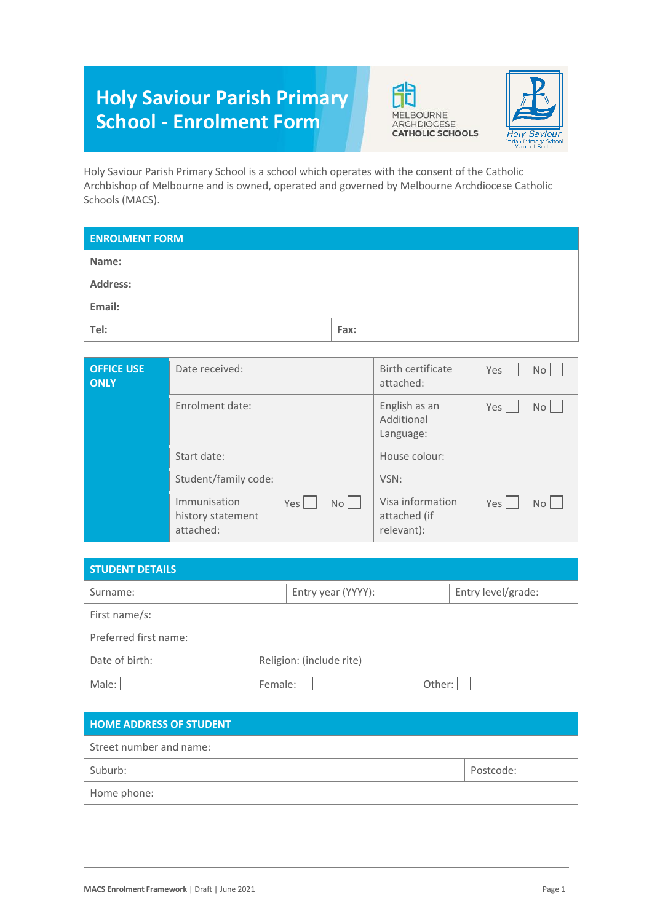# **Holy Saviour Parish Primary School - Enrolment Form**





Holy Saviour Parish Primary School is a school which operates with the consent of the Catholic Archbishop of Melbourne and is owned, operated and governed by Melbourne Archdiocese Catholic Schools (MACS).

| <b>ENROLMENT FORM</b>            |                 |      |                                          |                     |
|----------------------------------|-----------------|------|------------------------------------------|---------------------|
| Name:                            |                 |      |                                          |                     |
| <b>Address:</b>                  |                 |      |                                          |                     |
| Email:                           |                 |      |                                          |                     |
| Tel:                             |                 | Fax: |                                          |                     |
|                                  |                 |      |                                          |                     |
| <b>OFFICE USE</b><br><b>ONLY</b> | Date received:  |      | Birth certificate<br>attached:           | Yes<br>No           |
|                                  | Enrolment date: |      | English as an<br>Additional<br>Language: | Yes<br>No<br>$\sim$ |

| Start date:                                                          | House colour:                                                                         |
|----------------------------------------------------------------------|---------------------------------------------------------------------------------------|
| Student/family code:                                                 | VSN:                                                                                  |
| Immunisation<br>Yes  <br><b>No</b><br>history statement<br>attached: | Visa information<br>Yes <sup>1</sup><br>No <sub>1</sub><br>attached (if<br>relevant): |

| <b>STUDENT DETAILS</b> |                          |                    |
|------------------------|--------------------------|--------------------|
| Surname:               | Entry year (YYYY):       | Entry level/grade: |
| First name/s:          |                          |                    |
| Preferred first name:  |                          |                    |
| Date of birth:         | Religion: (include rite) |                    |
| Male: $ $              | Female:                  | Other:             |

| <b>HOME ADDRESS OF STUDENT</b> |           |
|--------------------------------|-----------|
| Street number and name:        |           |
| Suburb:                        | Postcode: |
| Home phone:                    |           |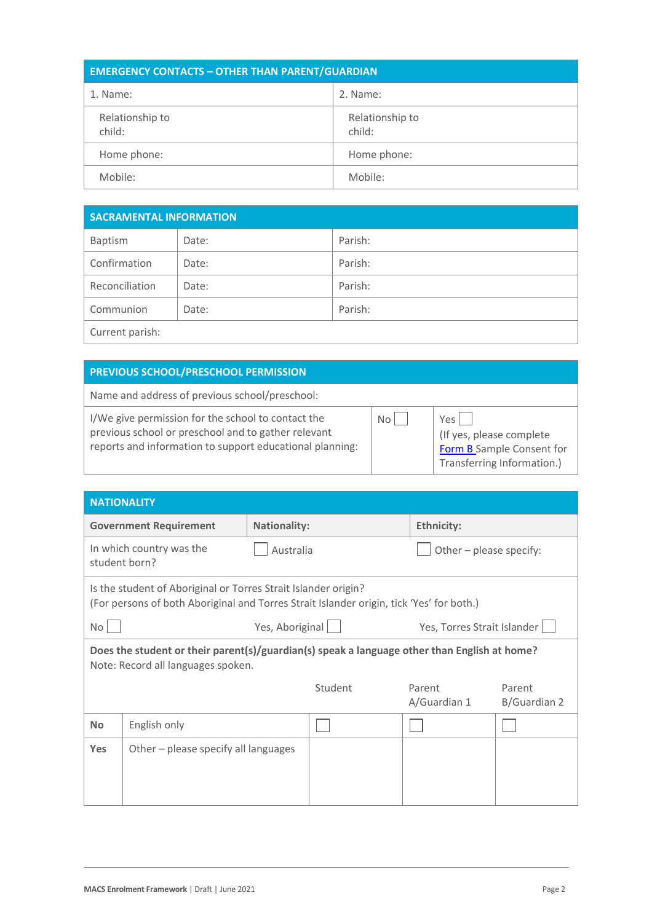| <b>EMERGENCY CONTACTS - OTHER THAN PARENT/GUARDIAN</b> |                           |  |
|--------------------------------------------------------|---------------------------|--|
| 1. Name:                                               | 2. Name:                  |  |
| Relationship to<br>child:                              | Relationship to<br>child: |  |
| Home phone:                                            | Home phone:               |  |
| Mobile:                                                | Mobile:                   |  |

| <b>SACRAMENTAL INFORMATION</b> |       |         |  |
|--------------------------------|-------|---------|--|
| Baptism                        | Date: | Parish: |  |
| Confirmation                   | Date: | Parish: |  |
| Reconciliation                 | Date: | Parish: |  |
| Communion                      | Date: | Parish: |  |
| Current parish:                |       |         |  |

## **PREVIOUS SCHOOL/PRESCHOOL PERMISSION**

Name and address of previous school/preschool:

I/We give permission for the school to contact the previous school or preschool and to gather relevant reports and information to support educational planning:

| No $\mathcal \Gamma$ |  |
|----------------------|--|
|                      |  |

 $Yes$   $\Box$ (If yes, please complete [Form B S](https://cevn.cecv.catholic.edu.au/Melb/Document-File/Students-Support/NCCD/Form-B-Sample-Consent-forTransferring.docx)ample Consent for Transferring Information.)

| <b>NATIONALITY</b>                                                                                                                                         |           |                                      |                        |                             |  |  |
|------------------------------------------------------------------------------------------------------------------------------------------------------------|-----------|--------------------------------------|------------------------|-----------------------------|--|--|
| <b>Government Requirement</b><br><b>Nationality:</b>                                                                                                       |           | <b>Ethnicity:</b>                    |                        |                             |  |  |
| In which country was the<br>student born?                                                                                                                  | Australia |                                      |                        | Other - please specify:     |  |  |
| Is the student of Aboriginal or Torres Strait Islander origin?<br>(For persons of both Aboriginal and Torres Strait Islander origin, tick 'Yes' for both.) |           |                                      |                        |                             |  |  |
| No <sub>1</sub>                                                                                                                                            |           |                                      |                        | Yes, Torres Strait Islander |  |  |
| Does the student or their parent(s)/guardian(s) speak a language other than English at home?<br>Note: Record all languages spoken.                         |           |                                      |                        |                             |  |  |
|                                                                                                                                                            |           | Student                              | Parent<br>A/Guardian 1 | Parent<br>B/Guardian 2      |  |  |
| English only                                                                                                                                               |           |                                      |                        |                             |  |  |
|                                                                                                                                                            |           |                                      |                        |                             |  |  |
|                                                                                                                                                            |           | Other - please specify all languages | Yes, Aboriginal        |                             |  |  |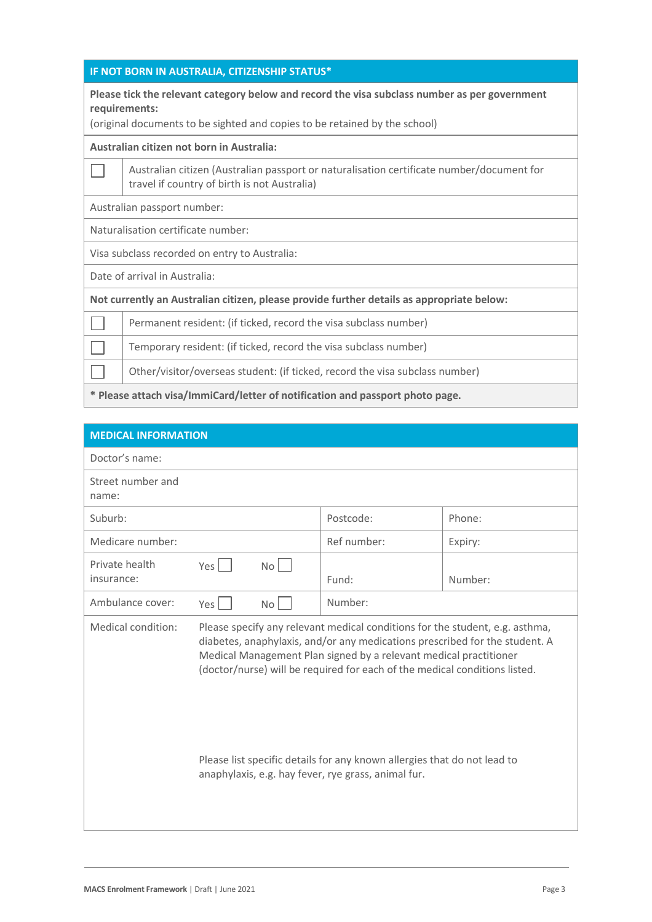#### **IF NOT BORN IN AUSTRALIA, CITIZENSHIP STATUS\***

#### **Please tick the relevant category below and record the visa subclass number as per government requirements:**

(original documents to be sighted and copies to be retained by the school)

#### **Australian citizen not born in Australia:**

Australian citizen (Australian passport or naturalisation certificate number/document for  $\Box$ travel if country of birth is not Australia)

Australian passport number:

Naturalisation certificate number:

Visa subclass recorded on entry to Australia:

Date of arrival in Australia:

**Not currently an Australian citizen, please provide further details as appropriate below:**

Permanent resident: (if ticked, record the visa subclass number) ×

Temporary resident: (if ticked, record the visa subclass number)

Other/visitor/overseas student: (if ticked, record the visa subclass number)

**\* Please attach visa/ImmiCard/letter of notification and passport photo page.**

| <b>MEDICAL INFORMATION</b>   |     |                 |                                                                                                                                                                                                                                                                                                                                                                                                                                                   |         |
|------------------------------|-----|-----------------|---------------------------------------------------------------------------------------------------------------------------------------------------------------------------------------------------------------------------------------------------------------------------------------------------------------------------------------------------------------------------------------------------------------------------------------------------|---------|
| Doctor's name:               |     |                 |                                                                                                                                                                                                                                                                                                                                                                                                                                                   |         |
| Street number and<br>name:   |     |                 |                                                                                                                                                                                                                                                                                                                                                                                                                                                   |         |
| Suburb:                      |     |                 | Postcode:                                                                                                                                                                                                                                                                                                                                                                                                                                         | Phone:  |
| Medicare number:             |     |                 | Ref number:                                                                                                                                                                                                                                                                                                                                                                                                                                       | Expiry: |
| Private health<br>insurance: | Yes | No              | Fund:                                                                                                                                                                                                                                                                                                                                                                                                                                             | Number: |
| Ambulance cover:             | Yes | No <sub>1</sub> | Number:                                                                                                                                                                                                                                                                                                                                                                                                                                           |         |
| Medical condition:           |     |                 | Please specify any relevant medical conditions for the student, e.g. asthma,<br>diabetes, anaphylaxis, and/or any medications prescribed for the student. A<br>Medical Management Plan signed by a relevant medical practitioner<br>(doctor/nurse) will be required for each of the medical conditions listed.<br>Please list specific details for any known allergies that do not lead to<br>anaphylaxis, e.g. hay fever, rye grass, animal fur. |         |
|                              |     |                 |                                                                                                                                                                                                                                                                                                                                                                                                                                                   |         |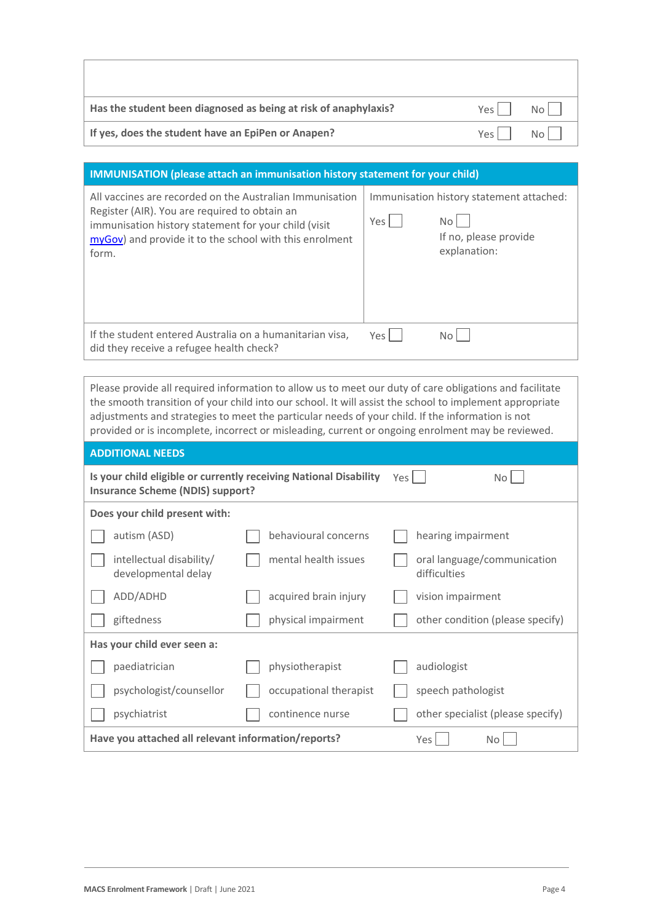| Has the student been diagnosed as being at risk of anaphylaxis? | Yes I | N <sub>0</sub> |
|-----------------------------------------------------------------|-------|----------------|
| If yes, does the student have an EpiPen or Anapen?              | Yes I | N <sub>0</sub> |

## **IMMUNISATION (please attach an immunisation history statement for your child)**

| All vaccines are recorded on the Australian Immunisation<br>Register (AIR). You are required to obtain an<br>immunisation history statement for your child (visit<br>myGov) and provide it to the school with this enrolment<br>form. | Yes I | Immunisation history statement attached:<br>No l<br>If no, please provide<br>explanation: |
|---------------------------------------------------------------------------------------------------------------------------------------------------------------------------------------------------------------------------------------|-------|-------------------------------------------------------------------------------------------|
| If the student entered Australia on a humanitarian visa,<br>did they receive a refugee health check?                                                                                                                                  | Yes I | No l                                                                                      |

Please provide all required information to allow us to meet our duty of care obligations and facilitate the smooth transition of your child into our school. It will assist the school to implement appropriate adjustments and strategies to meet the particular needs of your child. If the information is not provided or is incomplete, incorrect or misleading, current or ongoing enrolment may be reviewed.

### **ADDITIONAL NEEDS**

Г

| Is your child eligible or currently receiving National Disability<br><b>Insurance Scheme (NDIS) support?</b> |                        |  | Yes  <br>No l                               |
|--------------------------------------------------------------------------------------------------------------|------------------------|--|---------------------------------------------|
| Does your child present with:                                                                                |                        |  |                                             |
| autism (ASD)                                                                                                 | behavioural concerns   |  | hearing impairment                          |
| intellectual disability/<br>developmental delay                                                              | mental health issues   |  | oral language/communication<br>difficulties |
| ADD/ADHD                                                                                                     | acquired brain injury  |  | vision impairment                           |
| giftedness                                                                                                   | physical impairment    |  | other condition (please specify)            |
| Has your child ever seen a:                                                                                  |                        |  |                                             |
| paediatrician                                                                                                | physiotherapist        |  | audiologist                                 |
| psychologist/counsellor                                                                                      | occupational therapist |  | speech pathologist                          |
| psychiatrist                                                                                                 | continence nurse       |  | other specialist (please specify)           |
| Have you attached all relevant information/reports?                                                          |                        |  | Yes  <br>No                                 |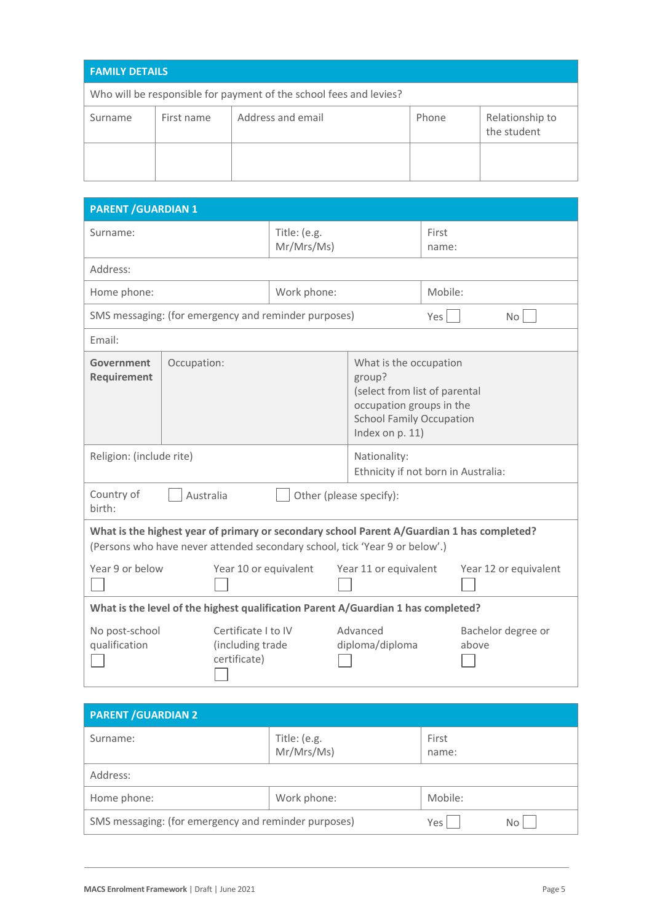| <b>FAMILY DETAILS</b>                                              |            |                   |       |                                |  |
|--------------------------------------------------------------------|------------|-------------------|-------|--------------------------------|--|
| Who will be responsible for payment of the school fees and levies? |            |                   |       |                                |  |
| Surname                                                            | First name | Address and email | Phone | Relationship to<br>the student |  |
|                                                                    |            |                   |       |                                |  |

| <b>PARENT / GUARDIAN 1</b>                                                                                                                                                |             |                                                      |                                                                                                                                                     |                             |                |                             |
|---------------------------------------------------------------------------------------------------------------------------------------------------------------------------|-------------|------------------------------------------------------|-----------------------------------------------------------------------------------------------------------------------------------------------------|-----------------------------|----------------|-----------------------------|
| Surname:                                                                                                                                                                  |             | Title: (e.g.                                         | Mr/Mrs/Ms)                                                                                                                                          |                             | First<br>name: |                             |
| Address:                                                                                                                                                                  |             |                                                      |                                                                                                                                                     |                             |                |                             |
| Home phone:                                                                                                                                                               |             | Work phone:                                          |                                                                                                                                                     |                             | Mobile:        |                             |
|                                                                                                                                                                           |             | SMS messaging: (for emergency and reminder purposes) |                                                                                                                                                     |                             | Yes            | No <sub>1</sub>             |
| Fmail:                                                                                                                                                                    |             |                                                      |                                                                                                                                                     |                             |                |                             |
| Government<br>Requirement                                                                                                                                                 | Occupation: |                                                      | What is the occupation<br>group?<br>(select from list of parental<br>occupation groups in the<br><b>School Family Occupation</b><br>Index on p. 11) |                             |                |                             |
| Religion: (include rite)                                                                                                                                                  |             |                                                      | Nationality:<br>Ethnicity if not born in Australia:                                                                                                 |                             |                |                             |
| Country of<br>Australia<br>Other (please specify):<br>birth:                                                                                                              |             |                                                      |                                                                                                                                                     |                             |                |                             |
| What is the highest year of primary or secondary school Parent A/Guardian 1 has completed?<br>(Persons who have never attended secondary school, tick 'Year 9 or below'.) |             |                                                      |                                                                                                                                                     |                             |                |                             |
| Year 9 or below                                                                                                                                                           |             | Year 10 or equivalent                                | Year 11 or equivalent                                                                                                                               |                             |                | Year 12 or equivalent       |
| What is the level of the highest qualification Parent A/Guardian 1 has completed?                                                                                         |             |                                                      |                                                                                                                                                     |                             |                |                             |
| No post-school<br>Certificate I to IV<br>qualification<br>(including trade<br>certificate)                                                                                |             |                                                      |                                                                                                                                                     | Advanced<br>diploma/diploma |                | Bachelor degree or<br>above |

| <b>PARENT / GUARDIAN 2</b>                           |                            |                |    |  |
|------------------------------------------------------|----------------------------|----------------|----|--|
| Surname:                                             | Title: (e.g.<br>Mr/Mrs/Ms) | First<br>name: |    |  |
| Address:                                             |                            |                |    |  |
| Home phone:                                          | Work phone:                | Mobile:        |    |  |
| SMS messaging: (for emergency and reminder purposes) |                            | Yes            | No |  |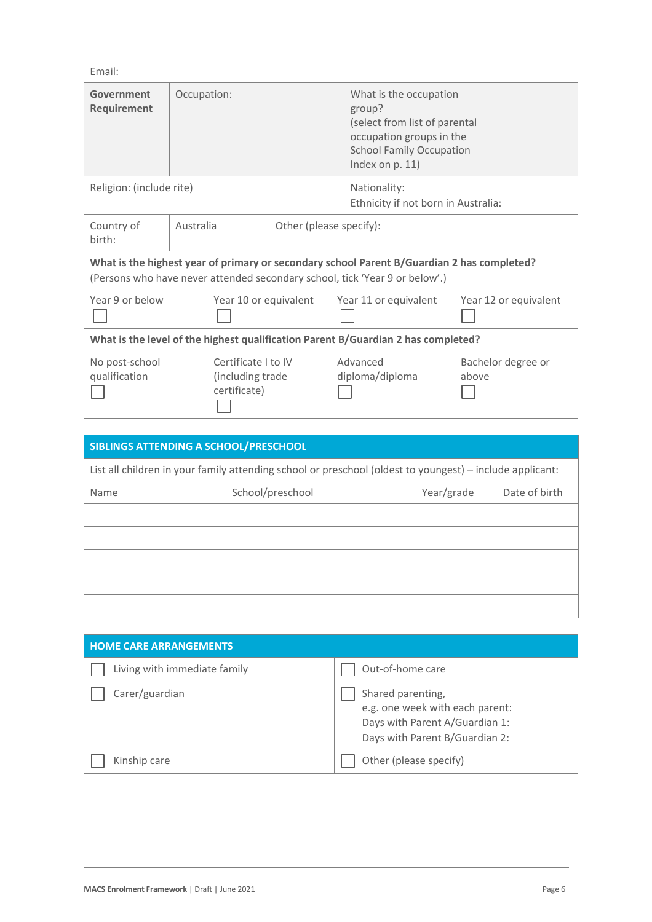| Fmail:                                                                                                                                                                    |                                                         |                                                     |                                                                                                                                                        |                             |
|---------------------------------------------------------------------------------------------------------------------------------------------------------------------------|---------------------------------------------------------|-----------------------------------------------------|--------------------------------------------------------------------------------------------------------------------------------------------------------|-----------------------------|
| Government<br>Requirement                                                                                                                                                 | Occupation:                                             |                                                     | What is the occupation<br>group?<br>(select from list of parental<br>occupation groups in the<br><b>School Family Occupation</b><br>Index on $p. 11$ ) |                             |
| Religion: (include rite)                                                                                                                                                  |                                                         | Nationality:<br>Ethnicity if not born in Australia: |                                                                                                                                                        |                             |
| Country of<br>hirth:                                                                                                                                                      | Australia<br>Other (please specify):                    |                                                     |                                                                                                                                                        |                             |
| What is the highest year of primary or secondary school Parent B/Guardian 2 has completed?<br>(Persons who have never attended secondary school, tick 'Year 9 or below'.) |                                                         |                                                     |                                                                                                                                                        |                             |
| Year 9 or below                                                                                                                                                           | Year 10 or equivalent                                   |                                                     | Year 11 or equivalent                                                                                                                                  | Year 12 or equivalent       |
| What is the level of the highest qualification Parent B/Guardian 2 has completed?                                                                                         |                                                         |                                                     |                                                                                                                                                        |                             |
| No post-school<br>qualification                                                                                                                                           | Certificate I to IV<br>(including trade<br>certificate) |                                                     | Advanced<br>diploma/diploma                                                                                                                            | Bachelor degree or<br>above |

|                                                                                                          | SIBLINGS ATTENDING A SCHOOL/PRESCHOOL |            |               |
|----------------------------------------------------------------------------------------------------------|---------------------------------------|------------|---------------|
| List all children in your family attending school or preschool (oldest to youngest) – include applicant: |                                       |            |               |
| Name                                                                                                     | School/preschool                      | Year/grade | Date of birth |
|                                                                                                          |                                       |            |               |
|                                                                                                          |                                       |            |               |
|                                                                                                          |                                       |            |               |
|                                                                                                          |                                       |            |               |
|                                                                                                          |                                       |            |               |

| <b>HOME CARE ARRANGEMENTS</b> |                                                                                                                          |
|-------------------------------|--------------------------------------------------------------------------------------------------------------------------|
| Living with immediate family  | Out-of-home care                                                                                                         |
| Carer/guardian                | Shared parenting,<br>e.g. one week with each parent:<br>Days with Parent A/Guardian 1:<br>Days with Parent B/Guardian 2: |
| Kinship care                  | Other (please specify)                                                                                                   |